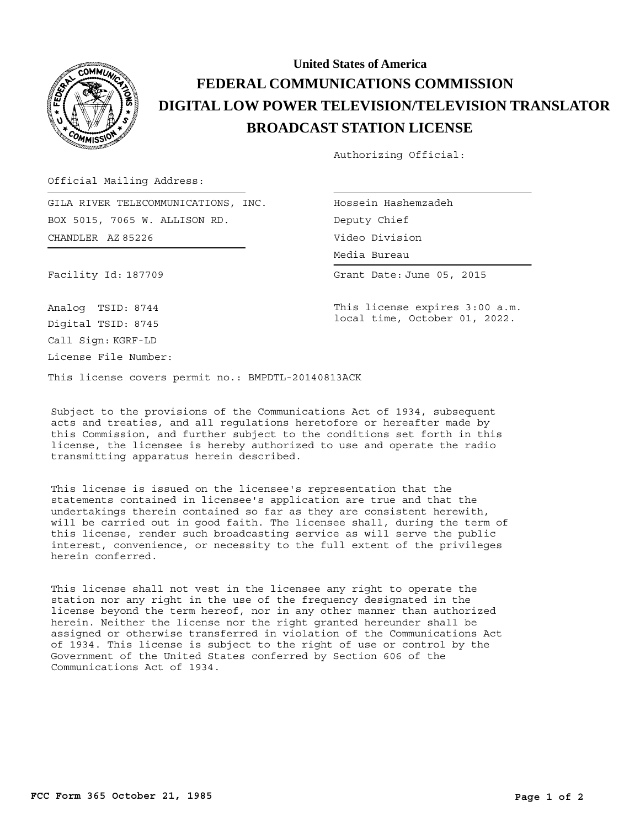

## **BROADCAST STATION LICENSE DIGITAL LOW POWER TELEVISION/TELEVISION TRANSLATOR FEDERAL COMMUNICATIONS COMMISSION United States of America**

Authorizing Official:

Official Mailing Address:

CHANDLER AZ 85226 GILA RIVER TELECOMMUNICATIONS, INC. BOX 5015, 7065 W. ALLISON RD.

Facility Id: 187709

Hossein Hashemzadeh Media Bureau Media Bureau Deputy Chief Video Division

Grant Date: June 05, 2015

This license expires 3:00 a.m. local time, October 01, 2022.

Call Sign: KGRF-LD License File Number: Analog TSID: 8744 Digital TSID: 8745

This license covers permit no.: BMPDTL-20140813ACK

Subject to the provisions of the Communications Act of 1934, subsequent acts and treaties, and all regulations heretofore or hereafter made by this Commission, and further subject to the conditions set forth in this license, the licensee is hereby authorized to use and operate the radio transmitting apparatus herein described.

This license is issued on the licensee's representation that the statements contained in licensee's application are true and that the undertakings therein contained so far as they are consistent herewith, will be carried out in good faith. The licensee shall, during the term of this license, render such broadcasting service as will serve the public interest, convenience, or necessity to the full extent of the privileges herein conferred.

This license shall not vest in the licensee any right to operate the station nor any right in the use of the frequency designated in the license beyond the term hereof, nor in any other manner than authorized herein. Neither the license nor the right granted hereunder shall be assigned or otherwise transferred in violation of the Communications Act of 1934. This license is subject to the right of use or control by the Government of the United States conferred by Section 606 of the Communications Act of 1934.